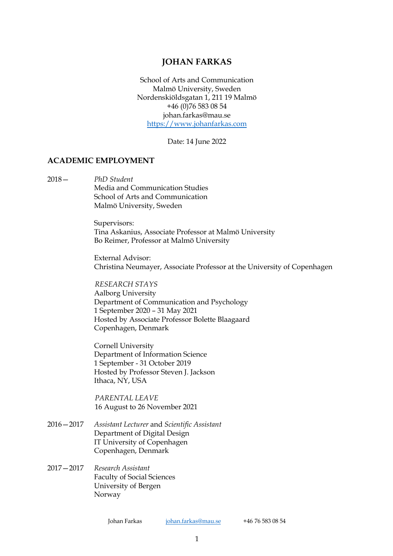# **JOHAN FARKAS**

School of Arts and Communication Malmö University, Sweden Nordenskiöldsgatan 1, 211 19 Malmö +46 (0)76 583 08 54 johan.farkas@mau.se https://www.johanfarkas.com

Date: 14 June 2022

#### **ACADEMIC EMPLOYMENT**

2018— *PhD Student* Media and Communication Studies School of Arts and Communication Malmö University, Sweden

> Supervisors: Tina Askanius, Associate Professor at Malmö University Bo Reimer, Professor at Malmö University

External Advisor: Christina Neumayer, Associate Professor at the University of Copenhagen

*RESEARCH STAYS* Aalborg University Department of Communication and Psychology 1 September 2020 – 31 May 2021 Hosted by Associate Professor Bolette Blaagaard Copenhagen, Denmark

Cornell University Department of Information Science 1 September - 31 October 2019 Hosted by Professor Steven J. Jackson Ithaca, NY, USA

*PARENTAL LEAVE* 16 August to 26 November 2021

- 2016—2017 *Assistant Lecturer* and *Scientific Assistant* Department of Digital Design IT University of Copenhagen Copenhagen, Denmark
- 2017—2017 *Research Assistant* Faculty of Social Sciences University of Bergen Norway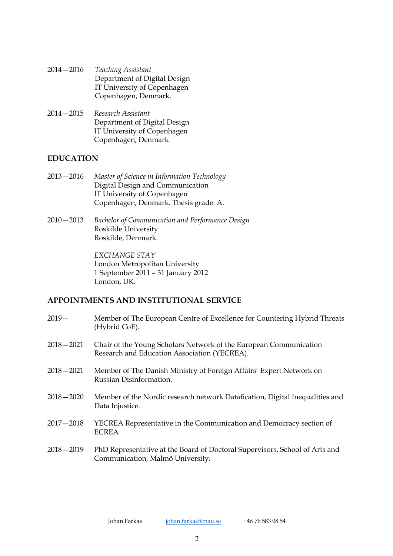- 2014—2016 *Teaching Assistant* Department of Digital Design IT University of Copenhagen Copenhagen, Denmark.
- 2014—2015 *Research Assistant* Department of Digital Design IT University of Copenhagen Copenhagen, Denmark

### **EDUCATION**

- 2013—2016 *Master of Science in Information Technology* Digital Design and Communication IT University of Copenhagen Copenhagen, Denmark. Thesis grade: A.
- 2010—2013 *Bachelor of Communication and Performance Design* Roskilde University Roskilde, Denmark.

*EXCHANGE STAY* London Metropolitan University 1 September 2011 – 31 January 2012 London, UK.

# **APPOINTMENTS AND INSTITUTIONAL SERVICE**

- 2019— Member of The European Centre of Excellence for Countering Hybrid Threats (Hybrid CoE).
- 2018—2021 Chair of the Young Scholars Network of the European Communication Research and Education Association (YECREA).
- 2018—2021 Member of The Danish Ministry of Foreign Affairs' Expert Network on Russian Disinformation.
- 2018—2020 Member of the Nordic research network Datafication, Digital Inequalities and Data Injustice.
- 2017—2018 YECREA Representative in the Communication and Democracy section of ECREA
- 2018—2019 PhD Representative at the Board of Doctoral Supervisors, School of Arts and Communication, Malmö University.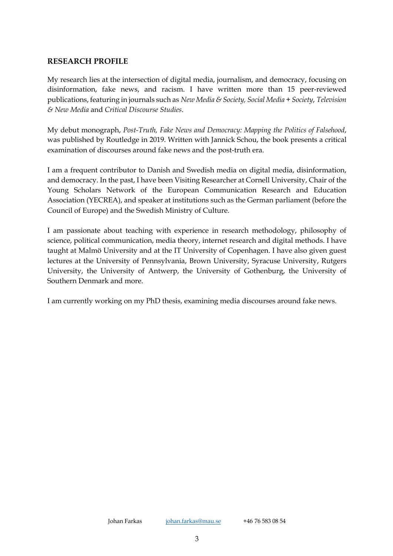# **RESEARCH PROFILE**

My research lies at the intersection of digital media, journalism, and democracy, focusing on disinformation, fake news, and racism. I have written more than 15 peer-reviewed publications, featuring in journals such as *New Media & Society, Social Media + Society*, *Television & New Media* and *Critical Discourse Studies*.

My debut monograph, *Post-Truth, Fake News and Democracy: Mapping the Politics of Falsehood*, was published by Routledge in 2019. Written with Jannick Schou, the book presents a critical examination of discourses around fake news and the post-truth era.

I am a frequent contributor to Danish and Swedish media on digital media, disinformation, and democracy. In the past, I have been Visiting Researcher at Cornell University, Chair of the Young Scholars Network of the European Communication Research and Education Association (YECREA), and speaker at institutions such as the German parliament (before the Council of Europe) and the Swedish Ministry of Culture.

I am passionate about teaching with experience in research methodology, philosophy of science, political communication, media theory, internet research and digital methods. I have taught at Malmö University and at the IT University of Copenhagen. I have also given guest lectures at the University of Pennsylvania, Brown University, Syracuse University, Rutgers University, the University of Antwerp, the University of Gothenburg, the University of Southern Denmark and more.

I am currently working on my PhD thesis, examining media discourses around fake news.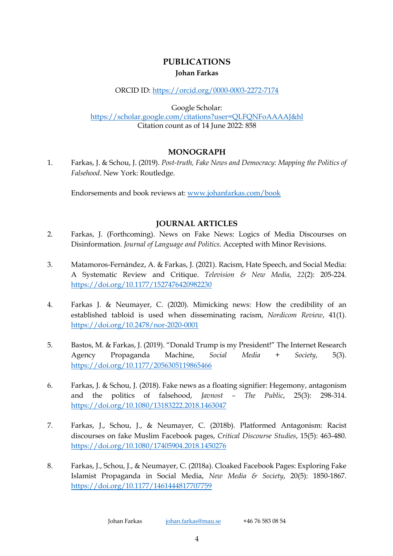# **PUBLICATIONS Johan Farkas**

### ORCID ID: https://orcid.org/0000-0003-2272-7174

Google Scholar:

https://scholar.google.com/citations?user=QLFQNFoAAAAJ&hl Citation count as of 14 June 2022: 858

# **MONOGRAPH**

1. Farkas, J. & Schou, J. (2019). *Post-truth, Fake News and Democracy: Mapping the Politics of Falsehood*. New York: Routledge.

Endorsements and book reviews at: www.johanfarkas.com/book

# **JOURNAL ARTICLES**

- 2. Farkas, J. (Forthcoming). News on Fake News: Logics of Media Discourses on Disinformation*. Journal of Language and Politics*. Accepted with Minor Revisions.
- 3. Matamoros-Fernández, A. & Farkas, J. (2021). Racism, Hate Speech, and Social Media: A Systematic Review and Critique. *Television & New Media*, *22*(2): 205-224. https://doi.org/10.1177/1527476420982230
- 4. Farkas J. & Neumayer, C. (2020). Mimicking news: How the credibility of an established tabloid is used when disseminating racism, *Nordicom Review*, 41(1). https://doi.org/10.2478/nor-2020-0001
- 5. Bastos, M. & Farkas, J. (2019). "Donald Trump is my President!" The Internet Research Agency Propaganda Machine, *Social Media + Society*, 5(3). https://doi.org/10.1177/2056305119865466
- 6. Farkas, J. & Schou, J. (2018). Fake news as a floating signifier: Hegemony, antagonism and the politics of falsehood, *Javnost – The Public*, 25(3): 298-314. https://doi.org/10.1080/13183222.2018.1463047
- 7. Farkas, J., Schou, J., & Neumayer, C. (2018b). Platformed Antagonism: Racist discourses on fake Muslim Facebook pages, *Critical Discourse Studies*, 15(5): 463-480. https://doi.org/10.1080/17405904.2018.1450276
- 8. Farkas, J., Schou, J., & Neumayer, C. (2018a). Cloaked Facebook Pages: Exploring Fake Islamist Propaganda in Social Media, *New Media & Society*, 20(5): 1850-1867. https://doi.org/10.1177/1461444817707759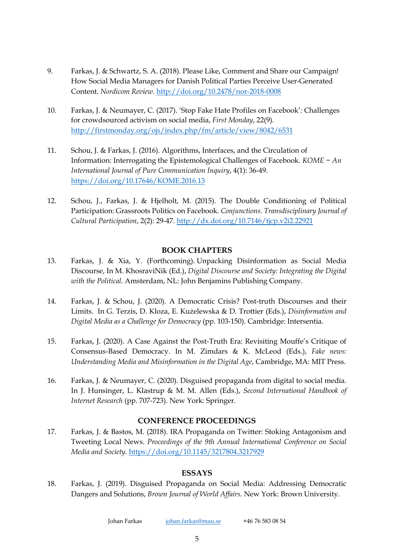- 9. Farkas, J. & Schwartz, S. A. (2018). Please Like, Comment and Share our Campaign! How Social Media Managers for Danish Political Parties Perceive User-Generated Content. *Nordicom Review*. http://doi.org/10.2478/nor-2018-0008
- 10. Farkas, J. & Neumayer, C. (2017). 'Stop Fake Hate Profiles on Facebook': Challenges for crowdsourced activism on social media, *First Monday*, 22(9). http://firstmonday.org/ojs/index.php/fm/article/view/8042/6531
- 11. Schou, J. & Farkas, J. (2016). Algorithms, Interfaces, and the Circulation of Information: Interrogating the Epistemological Challenges of Facebook. *KOME − An International Journal of Pure Communication Inquiry*, 4(1): 36-49. https://doi.org/10.17646/KOME.2016.13
- 12. Schou, J., Farkas, J. & Hjelholt, M. (2015). The Double Conditioning of Political Participation: Grassroots Politics on Facebook. *Conjunctions. Transdisciplinary Journal of Cultural Participation*, 2(2): 29-47. http://dx.doi.org/10.7146/tjcp.v2i2.22921

# **BOOK CHAPTERS**

- 13. Farkas, J. & Xia, Y. (Forthcoming). Unpacking Disinformation as Social Media Discourse, In M. KhosraviNik (Ed.), *Digital Discourse and Society: Integrating the Digital with the Political*. Amsterdam, NL: John Benjamins Publishing Company.
- 14. Farkas, J. & Schou, J. (2020). A Democratic Crisis? Post-truth Discourses and their Limits. In G. Terzis, D. Kloza, E. Kużelewska & D. Trottier (Eds.), *Disinformation and Digital Media as a Challenge for Democracy* (pp. 103-150). Cambridge: Intersentia.
- 15. Farkas, J. (2020). A Case Against the Post-Truth Era: Revisiting Mouffe's Critique of Consensus-Based Democracy. In M. Zimdars & K. McLeod (Eds.), *Fake news: Understanding Media and Misinformation in the Digital Age*, Cambridge, MA: MIT Press.
- 16. Farkas, J. & Neumayer, C. (2020). Disguised propaganda from digital to social media. In J. Hunsinger, L. Klastrup & M. M. Allen (Eds.), *Second International Handbook of Internet Research* (pp. 707-723). New York: Springer.

### **CONFERENCE PROCEEDINGS**

17. Farkas, J. & Bastos, M. (2018). IRA Propaganda on Twitter: Stoking Antagonism and Tweeting Local News. *Proceedings of the 9th Annual International Conference on Social Media and Society*. https://doi.org/10.1145/3217804.3217929

# **ESSAYS**

18. Farkas, J. (2019). Disguised Propaganda on Social Media: Addressing Democratic Dangers and Solutions, *Brown Journal of World Affairs*. New York: Brown University.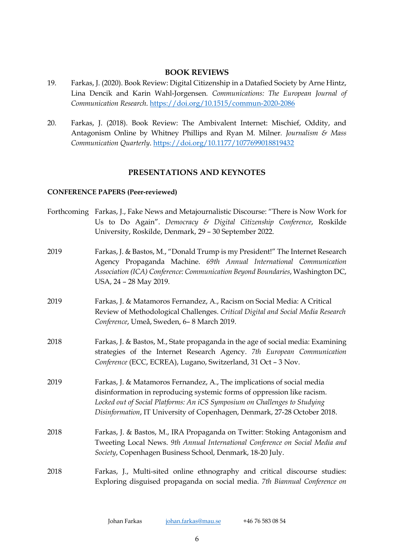#### **BOOK REVIEWS**

- 19. Farkas, J. (2020). Book Review: Digital Citizenship in a Datafied Society by Arne Hintz, Lina Dencik and Karin Wahl-Jorgensen*. Communications: The European Journal of Communication Research*. https://doi.org/10.1515/commun-2020-2086
- 20. Farkas, J. (2018). Book Review: The Ambivalent Internet: Mischief, Oddity, and Antagonism Online by Whitney Phillips and Ryan M. Milner*. Journalism & Mass Communication Quarterly*. https://doi.org/10.1177/1077699018819432

# **PRESENTATIONS AND KEYNOTES**

#### **CONFERENCE PAPERS (Peer-reviewed)**

Forthcoming Farkas, J., Fake News and Metajournalistic Discourse: "There is Now Work for Us to Do Again". *Democracy & Digital Citizenship Conference*, Roskilde University, Roskilde, Denmark, 29 – 30 September 2022. 2019 Farkas, J. & Bastos, M., "Donald Trump is my President!" The Internet Research Agency Propaganda Machine. *69th Annual International Communication Association (ICA) Conference: Communication Beyond Boundaries*, Washington DC, USA, 24 – 28 May 2019. 2019 Farkas, J. & Matamoros Fernandez, A., Racism on Social Media: A Critical Review of Methodological Challenges. *Critical Digital and Social Media Research Conference*, Umeå, Sweden, 6– 8 March 2019. 2018 Farkas, J. & Bastos, M., State propaganda in the age of social media: Examining strategies of the Internet Research Agency. *7th European Communication Conference* (ECC, ECREA), Lugano, Switzerland, 31 Oct – 3 Nov. 2019 Farkas, J. & Matamoros Fernandez, A., The implications of social media disinformation in reproducing systemic forms of oppression like racism. *Locked out of Social Platforms: An iCS Symposium on Challenges to Studying Disinformation*, IT University of Copenhagen, Denmark, 27-28 October 2018. 2018 Farkas, J. & Bastos, M., IRA Propaganda on Twitter: Stoking Antagonism and Tweeting Local News. *9th Annual International Conference on Social Media and Society*, Copenhagen Business School, Denmark, 18-20 July. 2018 Farkas, J., Multi-sited online ethnography and critical discourse studies: Exploring disguised propaganda on social media. *7th Biannual Conference on*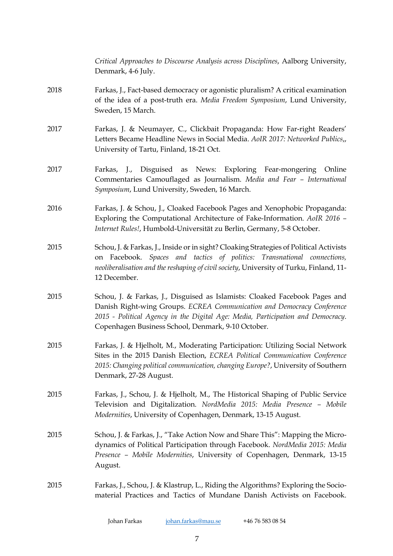*Critical Approaches to Discourse Analysis across Disciplines*, Aalborg University, Denmark, 4-6 July. 2018 Farkas, J., Fact-based democracy or agonistic pluralism? A critical examination of the idea of a post-truth era. *Media Freedom Symposium*, Lund University, Sweden, 15 March. 2017 Farkas, J. & Neumayer, C., Clickbait Propaganda: How Far-right Readers' Letters Became Headline News in Social Media. *AoIR 2017: Networked Publics*,, University of Tartu, Finland, 18-21 Oct. 2017 Farkas, J., Disguised as News: Exploring Fear-mongering Online Commentaries Camouflaged as Journalism. *Media and Fear – International Symposium*, Lund University, Sweden, 16 March. 2016 Farkas, J. & Schou, J., Cloaked Facebook Pages and Xenophobic Propaganda: Exploring the Computational Architecture of Fake-Information. *AoIR 2016 – Internet Rules!*, Humbold-Universität zu Berlin, Germany, 5-8 October. 2015 Schou, J. & Farkas, J., Inside or in sight? Cloaking Strategies of Political Activists on Facebook. *Spaces and tactics of politics: Transnational connections, neoliberalisation and the reshaping of civil society*, University of Turku, Finland, 11- 12 December. 2015 Schou, J. & Farkas, J., Disguised as Islamists: Cloaked Facebook Pages and Danish Right-wing Groups. *ECREA Communication and Democracy Conference 2015 - Political Agency in the Digital Age: Media, Participation and Democracy*. Copenhagen Business School, Denmark, 9-10 October. 2015 Farkas, J. & Hjelholt, M., Moderating Participation: Utilizing Social Network Sites in the 2015 Danish Election, *ECREA Political Communication Conference 2015: Changing political communication, changing Europe?*, University of Southern Denmark, 27-28 August. 2015 Farkas, J., Schou, J. & Hjelholt, M., The Historical Shaping of Public Service Television and Digitalization. *NordMedia 2015: Media Presence – Mobile Modernities*, University of Copenhagen, Denmark, 13-15 August. 2015 Schou, J. & Farkas, J., "Take Action Now and Share This": Mapping the Microdynamics of Political Participation through Facebook. *NordMedia 2015: Media Presence – Mobile Modernities*, University of Copenhagen, Denmark, 13-15 August. 2015 Farkas, J., Schou, J. & Klastrup, L., Riding the Algorithms? Exploring the Sociomaterial Practices and Tactics of Mundane Danish Activists on Facebook.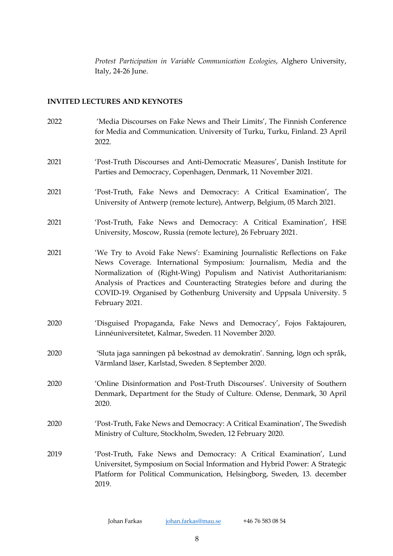*Protest Participation in Variable Communication Ecologies*, Alghero University, Italy, 24-26 June.

#### **INVITED LECTURES AND KEYNOTES**

2022 'Media Discourses on Fake News and Their Limits', The Finnish Conference for Media and Communication. University of Turku, Turku, Finland. 23 April 2022. 2021 'Post-Truth Discourses and Anti-Democratic Measures', Danish Institute for Parties and Democracy, Copenhagen, Denmark, 11 November 2021. 2021 'Post-Truth, Fake News and Democracy: A Critical Examination', The University of Antwerp (remote lecture), Antwerp, Belgium, 05 March 2021. 2021 'Post-Truth, Fake News and Democracy: A Critical Examination', HSE University, Moscow, Russia (remote lecture), 26 February 2021. 2021 'We Try to Avoid Fake News': Examining Journalistic Reflections on Fake News Coverage. International Symposium: Journalism, Media and the Normalization of (Right-Wing) Populism and Nativist Authoritarianism: Analysis of Practices and Counteracting Strategies before and during the COVID-19. Organised by Gothenburg University and Uppsala University. 5 February 2021. 2020 'Disguised Propaganda, Fake News and Democracy', Fojos Faktajouren, Linnéuniversitetet, Kalmar, Sweden. 11 November 2020. 2020 'Sluta jaga sanningen på bekostnad av demokratin'. Sanning, lögn och språk, Värmland läser, Karlstad, Sweden. 8 September 2020. 2020 'Online Disinformation and Post-Truth Discourses'. University of Southern Denmark, Department for the Study of Culture. Odense, Denmark, 30 April 2020. 2020 'Post-Truth, Fake News and Democracy: A Critical Examination', The Swedish Ministry of Culture, Stockholm, Sweden, 12 February 2020. 2019 'Post-Truth, Fake News and Democracy: A Critical Examination', Lund Universitet, Symposium on Social Information and Hybrid Power: A Strategic Platform for Political Communication, Helsingborg, Sweden, 13. december 2019.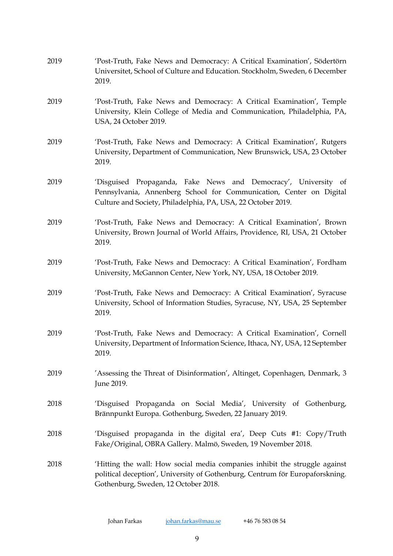| 2019 | 'Post-Truth, Fake News and Democracy: A Critical Examination', Södertörn<br>Universitet, School of Culture and Education. Stockholm, Sweden, 6 December<br>2019.                                      |
|------|-------------------------------------------------------------------------------------------------------------------------------------------------------------------------------------------------------|
| 2019 | 'Post-Truth, Fake News and Democracy: A Critical Examination', Temple<br>University, Klein College of Media and Communication, Philadelphia, PA,<br>USA, 24 October 2019.                             |
| 2019 | 'Post-Truth, Fake News and Democracy: A Critical Examination', Rutgers<br>University, Department of Communication, New Brunswick, USA, 23 October<br>2019.                                            |
| 2019 | 'Disguised Propaganda, Fake News and Democracy', University of<br>Pennsylvania, Annenberg School for Communication, Center on Digital<br>Culture and Society, Philadelphia, PA, USA, 22 October 2019. |
| 2019 | 'Post-Truth, Fake News and Democracy: A Critical Examination', Brown<br>University, Brown Journal of World Affairs, Providence, RI, USA, 21 October<br>2019.                                          |
| 2019 | 'Post-Truth, Fake News and Democracy: A Critical Examination', Fordham<br>University, McGannon Center, New York, NY, USA, 18 October 2019.                                                            |
| 2019 | 'Post-Truth, Fake News and Democracy: A Critical Examination', Syracuse<br>University, School of Information Studies, Syracuse, NY, USA, 25 September<br>2019.                                        |
| 2019 | 'Post-Truth, Fake News and Democracy: A Critical Examination', Cornell<br>University, Department of Information Science, Ithaca, NY, USA, 12 September<br>2019.                                       |
| 2019 | 'Assessing the Threat of Disinformation', Altinget, Copenhagen, Denmark, 3<br>June 2019.                                                                                                              |
| 2018 | 'Disguised Propaganda on Social Media', University of Gothenburg,<br>Brännpunkt Europa. Gothenburg, Sweden, 22 January 2019.                                                                          |
| 2018 | 'Disguised propaganda in the digital era', Deep Cuts #1: Copy/Truth<br>Fake/Original, OBRA Gallery. Malmö, Sweden, 19 November 2018.                                                                  |
| 2018 | 'Hitting the wall: How social media companies inhibit the struggle against<br>political deception', University of Gothenburg, Centrum för Europaforskning.<br>Gothenburg, Sweden, 12 October 2018.    |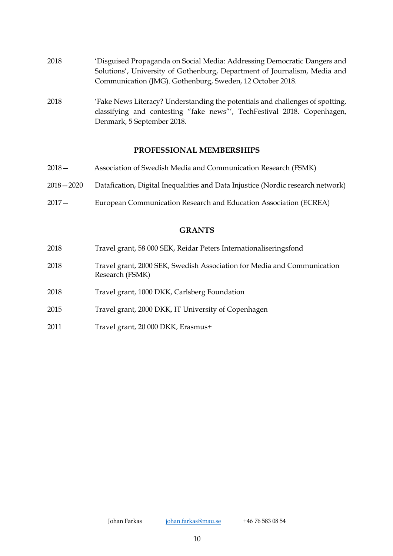| 2018 | 'Disguised Propaganda on Social Media: Addressing Democratic Dangers and  |
|------|---------------------------------------------------------------------------|
|      | Solutions', University of Gothenburg, Department of Journalism, Media and |
|      | Communication (JMG). Gothenburg, Sweden, 12 October 2018.                 |
|      |                                                                           |

2018 'Fake News Literacy? Understanding the potentials and challenges of spotting, classifying and contesting "fake news"', TechFestival 2018. Copenhagen, Denmark, 5 September 2018.

# **PROFESSIONAL MEMBERSHIPS**

| 2018 —      | Association of Swedish Media and Communication Research (FSMK)                  |
|-------------|---------------------------------------------------------------------------------|
| 2018 — 2020 | Datafication, Digital Inequalities and Data Injustice (Nordic research network) |
| 2017 —      | European Communication Research and Education Association (ECREA)               |

#### **GRANTS**

| 2018 | Travel grant, 58 000 SEK, Reidar Peters Internationaliseringsfond                          |
|------|--------------------------------------------------------------------------------------------|
| 2018 | Travel grant, 2000 SEK, Swedish Association for Media and Communication<br>Research (FSMK) |
| 2018 | Travel grant, 1000 DKK, Carlsberg Foundation                                               |
| 2015 | Travel grant, 2000 DKK, IT University of Copenhagen                                        |

2011 Travel grant, 20 000 DKK, Erasmus+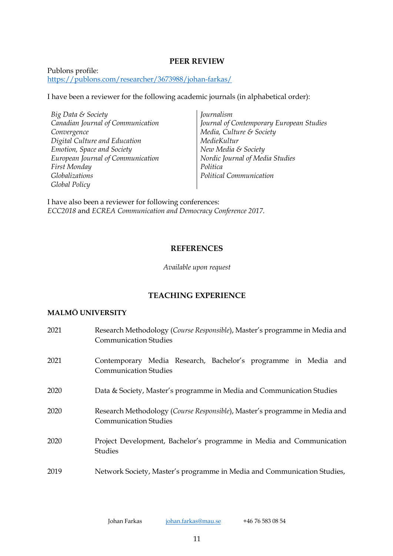#### **PEER REVIEW**

Publons profile: https://publons.com/researcher/3673988/johan-farkas/

I have been a reviewer for the following academic journals (in alphabetical order):

*Big Data & Society Canadian Journal of Communication Convergence Digital Culture and Education Emotion, Space and Society European Journal of Communication First Monday Globalizations Global Policy* 

*Journalism Journal of Contemporary European Studies Media, Culture & Society MedieKultur New Media & Society Nordic Journal of Media Studies Politica Political Communication*

I have also been a reviewer for following conferences: *ECC2018* and *ECREA Communication and Democracy Conference 2017*.

#### **REFERENCES**

*Available upon request*

# **TEACHING EXPERIENCE**

### **MALMÖ UNIVERSITY**

| 2021 | Research Methodology (Course Responsible), Master's programme in Media and<br><b>Communication Studies</b> |
|------|------------------------------------------------------------------------------------------------------------|
| 2021 | Contemporary Media Research, Bachelor's programme in Media and<br><b>Communication Studies</b>             |
| 2020 | Data & Society, Master's programme in Media and Communication Studies                                      |
| 2020 | Research Methodology (Course Responsible), Master's programme in Media and<br><b>Communication Studies</b> |
| 2020 | Project Development, Bachelor's programme in Media and Communication<br>Studies                            |
| 2019 | Network Society, Master's programme in Media and Communication Studies,                                    |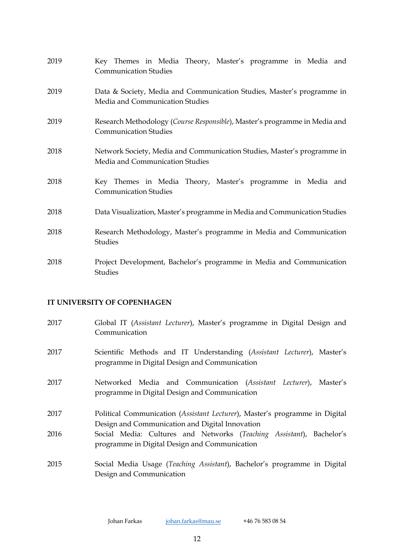| 2019 | Key Themes in Media Theory, Master's programme in Media and<br><b>Communication Studies</b>                |
|------|------------------------------------------------------------------------------------------------------------|
| 2019 | Data & Society, Media and Communication Studies, Master's programme in<br>Media and Communication Studies  |
| 2019 | Research Methodology (Course Responsible), Master's programme in Media and<br><b>Communication Studies</b> |
| 2018 | Network Society, Media and Communication Studies, Master's programme in<br>Media and Communication Studies |
| 2018 | Key Themes in Media Theory, Master's programme in Media and<br><b>Communication Studies</b>                |
| 2018 | Data Visualization, Master's programme in Media and Communication Studies                                  |
| 2018 | Research Methodology, Master's programme in Media and Communication<br><b>Studies</b>                      |
| 2018 | Project Development, Bachelor's programme in Media and Communication<br>Studies                            |

# **IT UNIVERSITY OF COPENHAGEN**

| 2017 | Global IT (Assistant Lecturer), Master's programme in Digital Design and<br>Communication                                      |
|------|--------------------------------------------------------------------------------------------------------------------------------|
| 2017 | Scientific Methods and IT Understanding (Assistant Lecturer), Master's<br>programme in Digital Design and Communication        |
| 2017 | Networked Media and Communication (Assistant Lecturer), Master's<br>programme in Digital Design and Communication              |
| 2017 | Political Communication (Assistant Lecturer), Master's programme in Digital<br>Design and Communication and Digital Innovation |
| 2016 | Social Media: Cultures and Networks (Teaching Assistant), Bachelor's<br>programme in Digital Design and Communication          |
| 2015 | Social Media Usage (Teaching Assistant), Bachelor's programme in Digital<br>Design and Communication                           |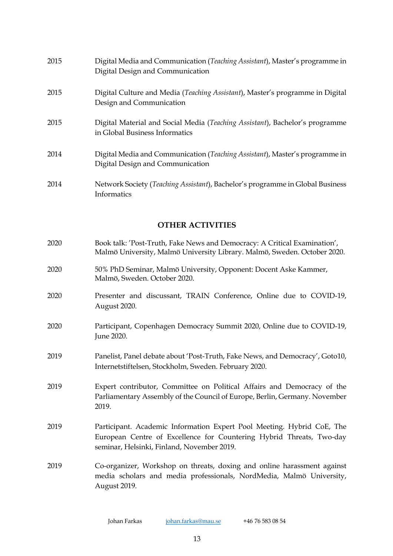| 2015 | Digital Media and Communication (Teaching Assistant), Master's programme in<br>Digital Design and Communication |
|------|-----------------------------------------------------------------------------------------------------------------|
| 2015 | Digital Culture and Media (Teaching Assistant), Master's programme in Digital<br>Design and Communication       |
| 2015 | Digital Material and Social Media (Teaching Assistant), Bachelor's programme<br>in Global Business Informatics  |
| 2014 | Digital Media and Communication (Teaching Assistant), Master's programme in<br>Digital Design and Communication |
| 2014 | Network Society (Teaching Assistant), Bachelor's programme in Global Business<br>Informatics                    |

# **OTHER ACTIVITIES**

- 2020 Book talk: 'Post-Truth, Fake News and Democracy: A Critical Examination', Malmö University, Malmö University Library. Malmö, Sweden. October 2020.
- 2020 50% PhD Seminar, Malmö University, Opponent: Docent Aske Kammer, Malmö, Sweden. October 2020.
- 2020 Presenter and discussant, TRAIN Conference, Online due to COVID-19, August 2020.
- 2020 Participant, Copenhagen Democracy Summit 2020, Online due to COVID-19, June 2020.
- 2019 Panelist, Panel debate about 'Post-Truth, Fake News, and Democracy', Goto10, Internetstiftelsen, Stockholm, Sweden. February 2020.
- 2019 Expert contributor, Committee on Political Affairs and Democracy of the Parliamentary Assembly of the Council of Europe, Berlin, Germany. November 2019.
- 2019 Participant. Academic Information Expert Pool Meeting. Hybrid CoE, The European Centre of Excellence for Countering Hybrid Threats, Two-day seminar, Helsinki, Finland, November 2019.
- 2019 Co-organizer, Workshop on threats, doxing and online harassment against media scholars and media professionals, NordMedia, Malmö University, August 2019.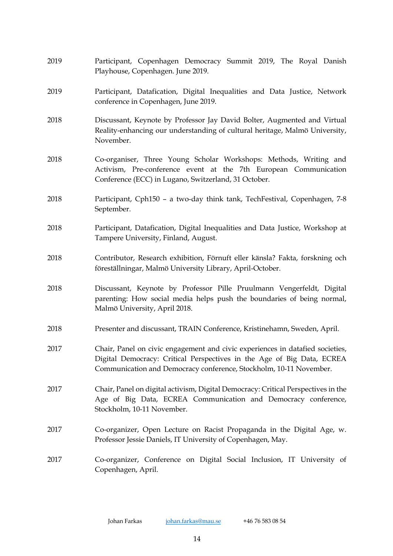| 2019 | Participant, Copenhagen Democracy Summit 2019, The Royal Danish<br>Playhouse, Copenhagen. June 2019.                                                                                                                          |
|------|-------------------------------------------------------------------------------------------------------------------------------------------------------------------------------------------------------------------------------|
| 2019 | Participant, Datafication, Digital Inequalities and Data Justice, Network<br>conference in Copenhagen, June 2019.                                                                                                             |
| 2018 | Discussant, Keynote by Professor Jay David Bolter, Augmented and Virtual<br>Reality-enhancing our understanding of cultural heritage, Malmö University,<br>November.                                                          |
| 2018 | Co-organiser, Three Young Scholar Workshops: Methods, Writing and<br>Activism, Pre-conference event at the 7th European Communication<br>Conference (ECC) in Lugano, Switzerland, 31 October.                                 |
| 2018 | Participant, Cph150 - a two-day think tank, TechFestival, Copenhagen, 7-8<br>September.                                                                                                                                       |
| 2018 | Participant, Datafication, Digital Inequalities and Data Justice, Workshop at<br>Tampere University, Finland, August.                                                                                                         |
| 2018 | Contributor, Research exhibition, Förnuft eller känsla? Fakta, forskning och<br>föreställningar, Malmö University Library, April-October.                                                                                     |
| 2018 | Discussant, Keynote by Professor Pille Pruulmann Vengerfeldt, Digital<br>parenting: How social media helps push the boundaries of being normal,<br>Malmö University, April 2018.                                              |
| 2018 | Presenter and discussant, TRAIN Conference, Kristinehamn, Sweden, April.                                                                                                                                                      |
| 2017 | Chair, Panel on civic engagement and civic experiences in datafied societies,<br>Digital Democracy: Critical Perspectives in the Age of Big Data, ECREA<br>Communication and Democracy conference, Stockholm, 10-11 November. |
| 2017 | Chair, Panel on digital activism, Digital Democracy: Critical Perspectives in the<br>Age of Big Data, ECREA Communication and Democracy conference,<br>Stockholm, 10-11 November.                                             |
| 2017 | Co-organizer, Open Lecture on Racist Propaganda in the Digital Age, w.<br>Professor Jessie Daniels, IT University of Copenhagen, May.                                                                                         |
| 2017 | Co-organizer, Conference on Digital Social Inclusion, IT University of<br>Copenhagen, April.                                                                                                                                  |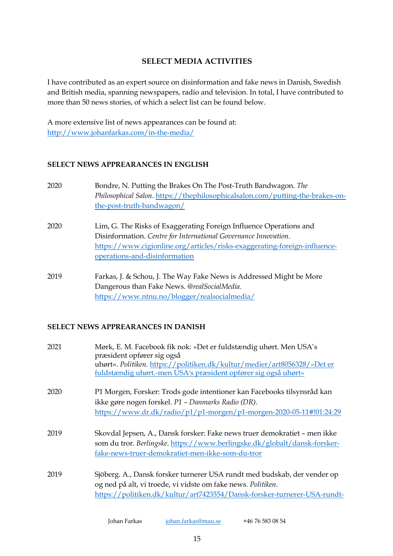# **SELECT MEDIA ACTIVITIES**

I have contributed as an expert source on disinformation and fake news in Danish, Swedish and British media, spanning newspapers, radio and television. In total, I have contributed to more than 50 news stories, of which a select list can be found below.

A more extensive list of news appearances can be found at: http://www.johanfarkas.com/in-the-media/

### **SELECT NEWS APPREARANCES IN ENGLISH**

- 2020 Bondre, N. Putting the Brakes On The Post-Truth Bandwagon. *The Philosophical Salon*. https://thephilosophicalsalon.com/putting-the-brakes-onthe-post-truth-bandwagon/
- 2020 Lim, G. The Risks of Exaggerating Foreign Influence Operations and Disinformation. *Centre for International Governance Innovation*. https://www.cigionline.org/articles/risks-exaggerating-foreign-influenceoperations-and-disinformation
- 2019 Farkas, J. & Schou, J. The Way Fake News is Addressed Might be More Dangerous than Fake News. *@realSocialMedia*. https://www.ntnu.no/blogger/realsocialmedia/

#### **SELECT NEWS APPREARANCES IN DANISH**

| 2021 | Mørk, E. M. Facebook fik nok: »Det er fuldstændig uhørt. Men USA's<br>præsident opfører sig også<br>uhørt«. Politiken. https://politiken.dk/kultur/medier/art8056328/»Det er |
|------|------------------------------------------------------------------------------------------------------------------------------------------------------------------------------|
|      | fuldstændig uhørt.-men USA's præsident opfører sig også uhørt«                                                                                                               |
| 2020 | P1 Morgen, Forsker: Trods gode intentioner kan Facebooks tilsynsråd kan                                                                                                      |
|      | ikke gøre nogen forskel. P1 - Danmarks Radio (DR).                                                                                                                           |
|      | https://www.dr.dk/radio/p1/p1-morgen/p1-morgen-2020-05-11#!01:24:29                                                                                                          |
| 2019 | Skovdal Jepsen, A., Dansk forsker: Fake news truer demokratiet – men ikke                                                                                                    |
|      | som du tror. Berlingske. https://www.berlingske.dk/globalt/dansk-forsker-                                                                                                    |
|      | fake-news-truer-demokratiet-men-ikke-som-du-tror                                                                                                                             |
| 2019 | Sjöberg. A., Dansk forsker turnerer USA rundt med budskab, der vender op                                                                                                     |
|      | og ned på alt, vi troede, vi vidste om fake news. Politiken.                                                                                                                 |
|      | https://politiken.dk/kultur/art7423554/Dansk-forsker-turnerer-USA-rundt-                                                                                                     |
|      |                                                                                                                                                                              |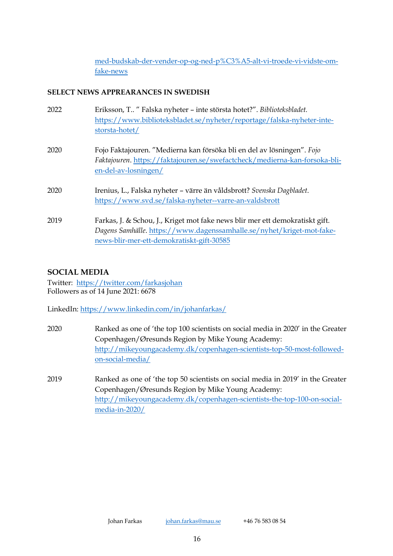med-budskab-der-vender-op-og-ned-p%C3%A5-alt-vi-troede-vi-vidste-omfake-news

# **SELECT NEWS APPREARANCES IN SWEDISH**

| 2022 | Eriksson, T " Falska nyheter – inte största hotet?". Biblioteksbladet.<br>https://www.biblioteksbladet.se/nyheter/reportage/falska-nyheter-inte-<br>storsta-hotet/                                 |
|------|----------------------------------------------------------------------------------------------------------------------------------------------------------------------------------------------------|
| 2020 | Fojo Faktajouren. "Medierna kan försöka bli en del av lösningen". Fojo<br>Faktajouren. https://faktajouren.se/swefactcheck/medierna-kan-forsoka-bli-<br>en-del-av-losningen/                       |
| 2020 | Irenius, L., Falska nyheter – värre än våldsbrott? Svenska Dagbladet.<br>https://www.svd.se/falska-nyheter--varre-an-valdsbrott                                                                    |
| 2019 | Farkas, J. & Schou, J., Kriget mot fake news blir mer ett demokratiskt gift.<br>Dagens Samhälle. https://www.dagenssamhalle.se/nyhet/kriget-mot-fake-<br>news-blir-mer-ett-demokratiskt-gift-30585 |

# **SOCIAL MEDIA**

Twitter: https://twitter.com/farkasjohan Followers as of 14 June 2021: 6678

LinkedIn: https://www.linkedin.com/in/johanfarkas/

- 2020 Ranked as one of 'the top 100 scientists on social media in 2020' in the Greater Copenhagen/Øresunds Region by Mike Young Academy: http://mikeyoungacademy.dk/copenhagen-scientists-top-50-most-followedon-social-media/
- 2019 Ranked as one of 'the top 50 scientists on social media in 2019' in the Greater Copenhagen/Øresunds Region by Mike Young Academy: http://mikeyoungacademy.dk/copenhagen-scientists-the-top-100-on-socialmedia-in-2020/